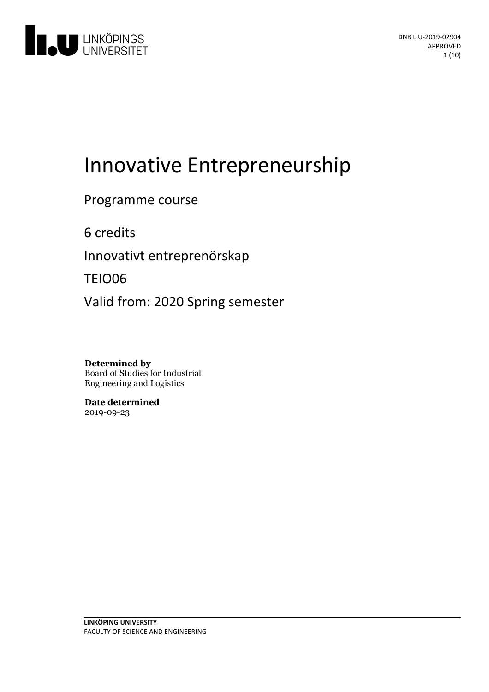

# Innovative Entrepreneurship

Programme course

6 credits

Innovativt entreprenörskap

TEIO06

Valid from: 2020 Spring semester

**Determined by** Board of Studies for Industrial Engineering and Logistics

**Date determined** 2019-09-23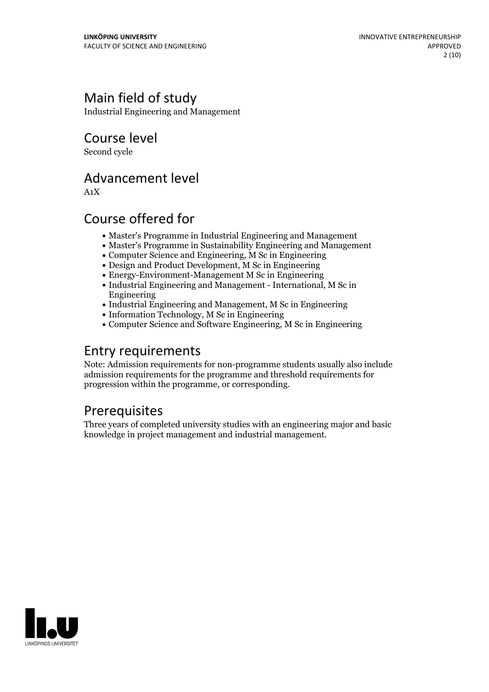# Main field of study

Industrial Engineering and Management

Course level

Second cycle

### Advancement level

A1X

# Course offered for

- Master's Programme in Industrial Engineering and Management
- Master's Programme in Sustainability Engineering and Management
- Computer Science and Engineering, M Sc in Engineering
- Design and Product Development, M Sc in Engineering
- Energy-Environment-Management M Sc in Engineering
- Industrial Engineering and Management International, M Sc in Engineering
- Industrial Engineering and Management, M Sc in Engineering
- Information Technology, M Sc in Engineering
- Computer Science and Software Engineering, M Sc in Engineering

### Entry requirements

Note: Admission requirements for non-programme students usually also include admission requirements for the programme and threshold requirements for progression within the programme, or corresponding.

# **Prerequisites**

Three years of completed university studies with an engineering major and basic knowledge in project management and industrial management.

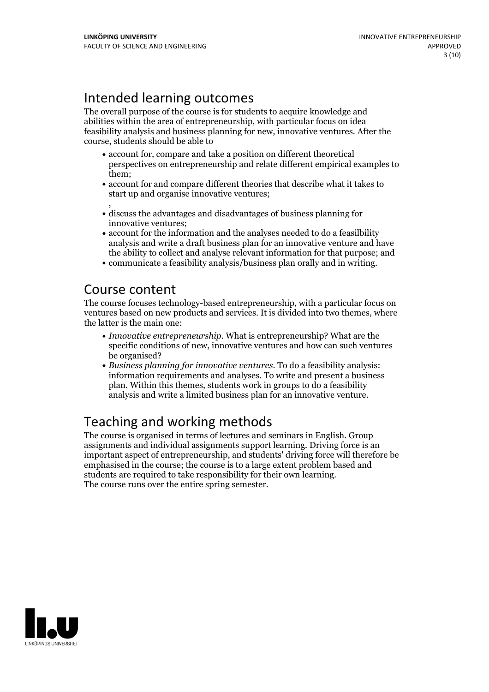# Intended learning outcomes

The overall purpose of the course is for students to acquire knowledge and abilities within the area of entrepreneurship, with particular focus on idea feasibility analysis and business planning for new, innovative ventures. After the course, students should be able to

- account for, compare and take a position on different theoretical perspectives on entrepreneurship and relate different empirical examples to them;
- account for and compare different theories that describe what it takes to start up and organise innovative ventures;
- $\bullet$  discuss the advantages and disadvantages of business planning for innovative ventures;
- account for the information and the analyses needed to do a feasilbility analysis and write a draft business plan for an innovative venture and have the ability to collect and analyse relevant information for that purpose; and
- communicate a feasibility analysis/business plan orally and in writing.

### Course content

The course focuses technology-based entrepreneurship, with a particular focus on ventures based on new products and services. It is divided into two themes, where the latter is the main one:

- *Innovative entrepreneurship*. What is entrepreneurship? What are the specific conditions of new, innovative ventures and how can such ventures be organised?
- *Business planning for innovative ventures*. To do a feasibility analysis: information requirements and analyses. To write and present a business plan. Within this themes, students work in groups to do a feasibility analysis and write a limited business plan for an innovative venture.

# Teaching and working methods

The course is organised in terms of lectures and seminars in English. Group assignments and individual assignments support learning. Driving force is an important aspect of entrepreneurship, and students' driving force will therefore be emphasised in the course; the course is to a large extent problem based and students are required to take responsibility for their own learning. The course runs over the entire spring semester.

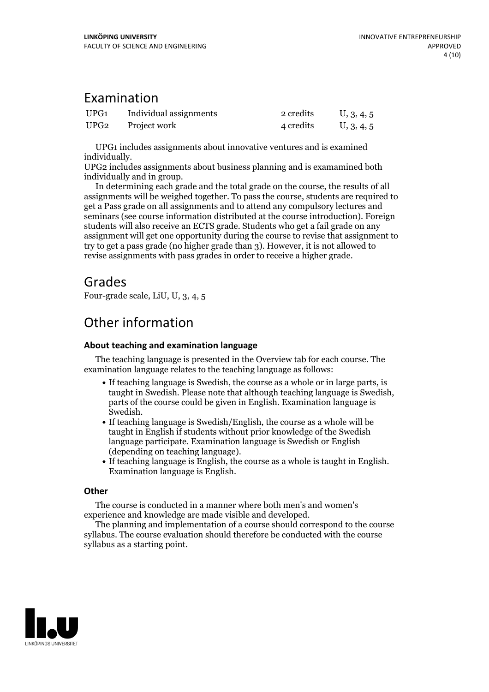### Examination

| UPG <sub>1</sub> | Individual assignments | 2 credits | U, 3, 4, 5 |
|------------------|------------------------|-----------|------------|
| UPG <sub>2</sub> | Project work           | 4 credits | U, 3, 4, 5 |

UPG1 includes assignments about innovative ventures and is examined

UPG2 includes assignments about business planning and is examamined both individually and in group. In determining each grade and the total grade on the course, the results of all

assignments will be weighed together. To pass the course, students are required to get a Pass grade on all assignments and to attend any compulsory lectures and seminars (see course information distributed at the course introduction). Foreign students will also receive an ECTS grade. Students who get a failgrade on any assignment will get one opportunity during the course to revise that assignment to try to get a pass grade (no higher grade than 3). However, it is not allowed to revise assignments with pass grades in order to receive a higher grade.

### Grades

Four-grade scale, LiU, U, 3, 4, 5

# Other information

#### **About teaching and examination language**

The teaching language is presented in the Overview tab for each course. The examination language relates to the teaching language as follows:

- If teaching language is Swedish, the course as a whole or in large parts, is taught in Swedish. Please note that although teaching language is Swedish, parts of the course could be given in English. Examination language is
- If teaching language is Swedish/English, the course as a whole will be taught in English if students without prior knowledge of the Swedish language participate. Examination language is Swedish or English
- (depending on teaching language).<br>• If teaching language is English, the course as a whole is taught in English.<br>Examination language is English.

#### **Other**

The course is conducted in a manner where both men's and women's

experience and knowledge are made visible and developed. The planning and implementation of <sup>a</sup> course should correspond to the course syllabus. The course evaluation should therefore be conducted with the course syllabus as a starting point.

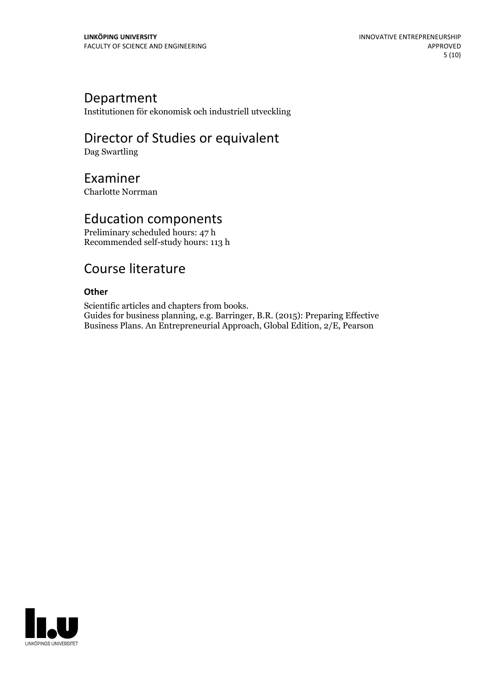### Department

Institutionen för ekonomisk och industriell utveckling

# Director of Studies or equivalent

Dag Swartling

### Examiner

Charlotte Norrman

### Education components

Preliminary scheduled hours: 47 h Recommended self-study hours: 113 h

### Course literature

#### **Other**

Scientific articles and chapters from books.<br>Guides for business planning, e.g. Barringer, B.R. (2015): Preparing Effective Business Plans. An Entrepreneurial Approach, Global Edition, 2/E, Pearson

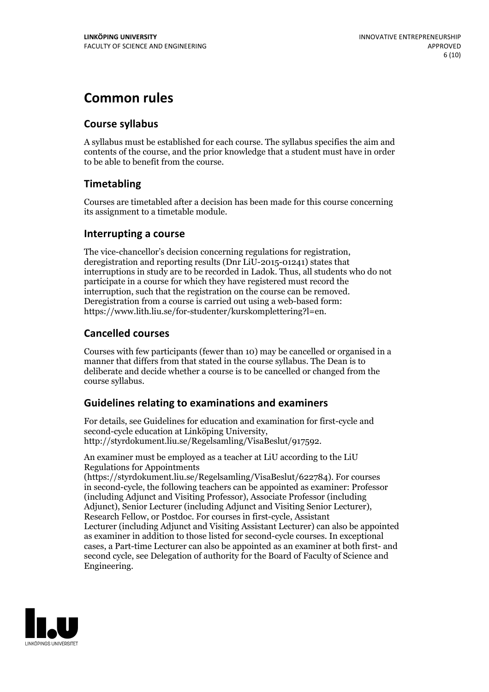# **Common rules**

### **Course syllabus**

A syllabus must be established for each course. The syllabus specifies the aim and contents of the course, and the prior knowledge that a student must have in order to be able to benefit from the course.

### **Timetabling**

Courses are timetabled after a decision has been made for this course concerning its assignment to a timetable module.

#### **Interrupting a course**

The vice-chancellor's decision concerning regulations for registration, deregistration and reporting results (Dnr LiU-2015-01241) states that interruptions in study are to be recorded in Ladok. Thus, all students who do not participate in a course for which they have registered must record the interruption, such that the registration on the course can be removed. Deregistration from <sup>a</sup> course is carried outusing <sup>a</sup> web-based form: https://www.lith.liu.se/for-studenter/kurskomplettering?l=en.

### **Cancelled courses**

Courses with few participants (fewer than 10) may be cancelled or organised in a manner that differs from that stated in the course syllabus. The Dean is to deliberate and decide whether a course is to be cancelled or changed from the course syllabus.

### **Guidelines relatingto examinations and examiners**

For details, see Guidelines for education and examination for first-cycle and second-cycle education at Linköping University, http://styrdokument.liu.se/Regelsamling/VisaBeslut/917592.

An examiner must be employed as a teacher at LiU according to the LiU Regulations for Appointments

(https://styrdokument.liu.se/Regelsamling/VisaBeslut/622784). For courses in second-cycle, the following teachers can be appointed as examiner: Professor (including Adjunct and Visiting Professor), Associate Professor (including Adjunct), Senior Lecturer (including Adjunct and Visiting Senior Lecturer), Research Fellow, or Postdoc. For courses in first-cycle, Assistant Lecturer (including Adjunct and Visiting Assistant Lecturer) can also be appointed as examiner in addition to those listed for second-cycle courses. In exceptional cases, a Part-time Lecturer can also be appointed as an examiner at both first- and second cycle, see Delegation of authority for the Board of Faculty of Science and Engineering.

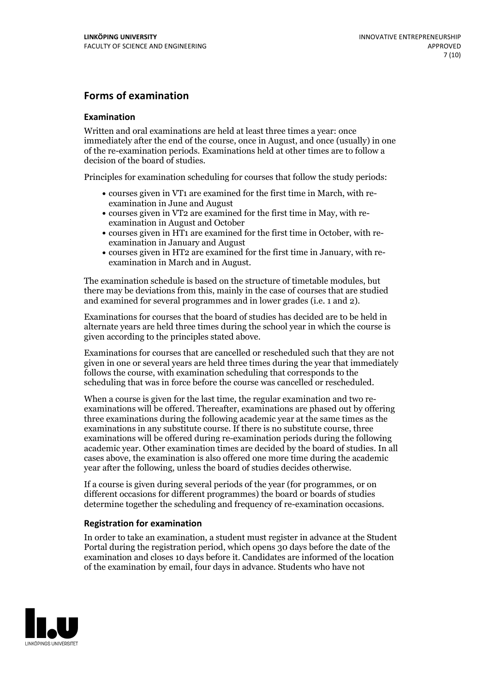#### **Forms of examination**

#### **Examination**

Written and oral examinations are held at least three times a year: once immediately after the end of the course, once in August, and once (usually) in one of the re-examination periods. Examinations held at other times are to follow a decision of the board of studies.

Principles for examination scheduling for courses that follow the study periods:

- courses given in VT1 are examined for the first time in March, with re-examination in June and August
- courses given in VT2 are examined for the first time in May, with re-examination in August and October
- courses given in HT1 are examined for the first time in October, with re-examination in January and August
- courses given in HT2 are examined for the first time in January, with re-examination in March and in August.

The examination schedule is based on the structure of timetable modules, but there may be deviations from this, mainly in the case of courses that are studied and examined for several programmes and in lower grades (i.e. 1 and 2).

Examinations for courses that the board of studies has decided are to be held in alternate years are held three times during the school year in which the course is given according to the principles stated above.

Examinations for courses that are cancelled orrescheduled such that they are not given in one or several years are held three times during the year that immediately follows the course, with examination scheduling that corresponds to the scheduling that was in force before the course was cancelled or rescheduled.

When a course is given for the last time, the regular examination and two re-<br>examinations will be offered. Thereafter, examinations are phased out by offering three examinations during the following academic year at the same times as the examinations in any substitute course. If there is no substitute course, three examinations will be offered during re-examination periods during the following academic year. Other examination times are decided by the board of studies. In all cases above, the examination is also offered one more time during the academic year after the following, unless the board of studies decides otherwise.

If a course is given during several periods of the year (for programmes, or on different occasions for different programmes) the board or boards of studies determine together the scheduling and frequency of re-examination occasions.

#### **Registration for examination**

In order to take an examination, a student must register in advance at the Student Portal during the registration period, which opens 30 days before the date of the examination and closes 10 days before it. Candidates are informed of the location of the examination by email, four days in advance. Students who have not

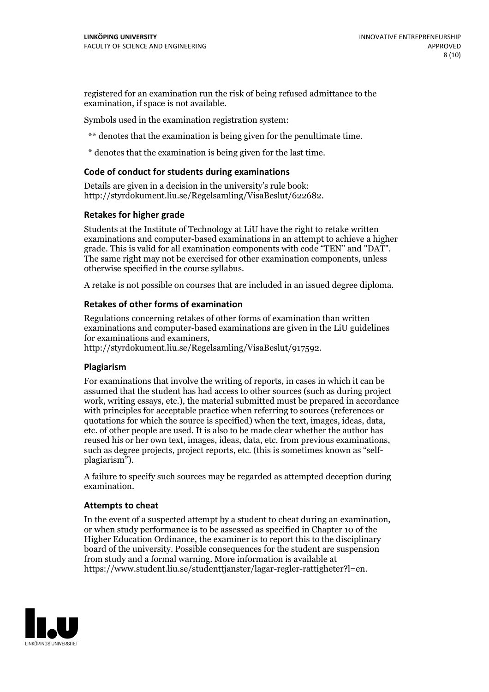registered for an examination run the risk of being refused admittance to the examination, if space is not available.

Symbols used in the examination registration system:

\*\* denotes that the examination is being given for the penultimate time.

\* denotes that the examination is being given for the last time.

#### **Code of conduct for students during examinations**

Details are given in a decision in the university's rule book: http://styrdokument.liu.se/Regelsamling/VisaBeslut/622682.

#### **Retakes for higher grade**

Students at the Institute of Technology at LiU have the right to retake written examinations and computer-based examinations in an attempt to achieve a higher grade. This is valid for all examination components with code "TEN" and "DAT". The same right may not be exercised for other examination components, unless otherwise specified in the course syllabus.

A retake is not possible on courses that are included in an issued degree diploma.

#### **Retakes of other forms of examination**

Regulations concerning retakes of other forms of examination than written examinations and computer-based examinations are given in the LiU guidelines

http://styrdokument.liu.se/Regelsamling/VisaBeslut/917592.

#### **Plagiarism**

For examinations that involve the writing of reports, in cases in which it can be assumed that the student has had access to other sources (such as during project work, writing essays, etc.), the material submitted must be prepared in accordance with principles for acceptable practice when referring to sources (references or quotations for which the source is specified) when the text, images, ideas, data,  $\vec{e}$  etc. of other people are used. It is also to be made clear whether the author has reused his or her own text, images, ideas, data, etc. from previous examinations, such as degree projects, project reports, etc. (this is sometimes known as "self- plagiarism").

A failure to specify such sources may be regarded as attempted deception during examination.

#### **Attempts to cheat**

In the event of <sup>a</sup> suspected attempt by <sup>a</sup> student to cheat during an examination, or when study performance is to be assessed as specified in Chapter <sup>10</sup> of the Higher Education Ordinance, the examiner is to report this to the disciplinary board of the university. Possible consequences for the student are suspension from study and a formal warning. More information is available at https://www.student.liu.se/studenttjanster/lagar-regler-rattigheter?l=en.

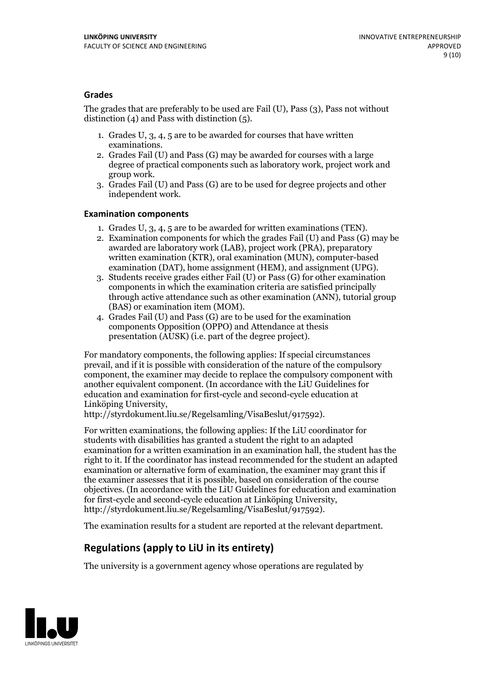#### **Grades**

The grades that are preferably to be used are Fail (U), Pass (3), Pass not without distinction  $(4)$  and Pass with distinction  $(5)$ .

- 1. Grades U, 3, 4, 5 are to be awarded for courses that have written
- examinations. 2. Grades Fail (U) and Pass (G) may be awarded for courses with <sup>a</sup> large degree of practical components such as laboratory work, project work and group work. 3. Grades Fail (U) and Pass (G) are to be used for degree projects and other
- independent work.

#### **Examination components**

- 
- 1. Grades U, 3, 4, <sup>5</sup> are to be awarded for written examinations (TEN). 2. Examination components for which the grades Fail (U) and Pass (G) may be awarded are laboratory work (LAB), project work (PRA), preparatory written examination (KTR), oral examination (MUN), computer-based
- examination (DAT), home assignment (HEM), and assignment (UPG). 3. Students receive grades either Fail (U) or Pass (G) for other examination components in which the examination criteria are satisfied principally through active attendance such as other examination (ANN), tutorial group
- (BAS) or examination item (MOM). 4. Grades Fail (U) and Pass (G) are to be used for the examination components Opposition (OPPO) and Attendance at thesis presentation (AUSK) (i.e. part of the degree project).

For mandatory components, the following applies: If special circumstances prevail, and if it is possible with consideration of the nature of the compulsory component, the examiner may decide to replace the compulsory component with another equivalent component. (In accordance with the LiU Guidelines for education and examination for first-cycle and second-cycle education at Linköping University, http://styrdokument.liu.se/Regelsamling/VisaBeslut/917592).

For written examinations, the following applies: If the LiU coordinator for students with disabilities has granted a student the right to an adapted examination for a written examination in an examination hall, the student has the right to it. If the coordinator has instead recommended for the student an adapted examination or alternative form of examination, the examiner may grant this if the examiner assesses that it is possible, based on consideration of the course objectives. (In accordance with the LiU Guidelines for education and examination for first-cycle and second-cycle education at Linköping University, http://styrdokument.liu.se/Regelsamling/VisaBeslut/917592).

The examination results for a student are reported at the relevant department.

### **Regulations (applyto LiU in its entirety)**

The university is a government agency whose operations are regulated by